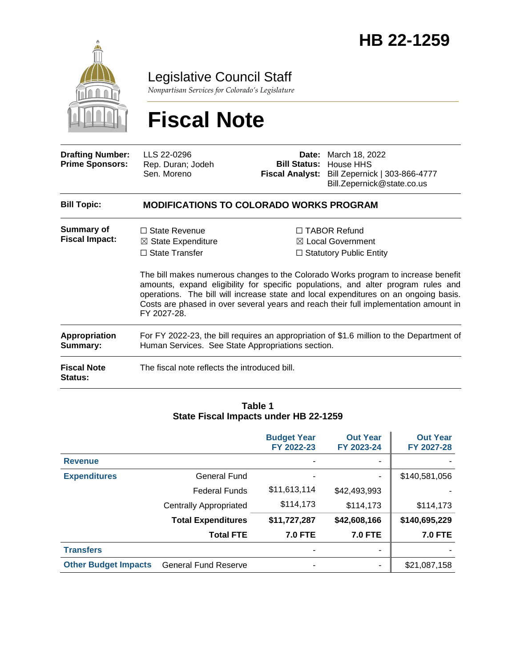

Legislative Council Staff

*Nonpartisan Services for Colorado's Legislature*

# **Fiscal Note**

| <b>Drafting Number:</b><br><b>Prime Sponsors:</b> | LLS 22-0296<br>Rep. Duran; Jodeh<br>Sen. Moreno                                                                                               |                                                                                                                                                                                                                                                                                                                                                                                                                                       | <b>Date:</b> March 18, 2022<br><b>Bill Status: House HHS</b><br>Fiscal Analyst: Bill Zepernick   303-866-4777<br>Bill.Zepernick@state.co.us |
|---------------------------------------------------|-----------------------------------------------------------------------------------------------------------------------------------------------|---------------------------------------------------------------------------------------------------------------------------------------------------------------------------------------------------------------------------------------------------------------------------------------------------------------------------------------------------------------------------------------------------------------------------------------|---------------------------------------------------------------------------------------------------------------------------------------------|
| <b>Bill Topic:</b>                                | <b>MODIFICATIONS TO COLORADO WORKS PROGRAM</b>                                                                                                |                                                                                                                                                                                                                                                                                                                                                                                                                                       |                                                                                                                                             |
| <b>Summary of</b><br><b>Fiscal Impact:</b>        | $\Box$ State Revenue<br>$\boxtimes$ State Expenditure<br>$\Box$ State Transfer<br>FY 2027-28.                                                 | $\Box$ TABOR Refund<br>⊠ Local Government<br>$\Box$ Statutory Public Entity<br>The bill makes numerous changes to the Colorado Works program to increase benefit<br>amounts, expand eligibility for specific populations, and alter program rules and<br>operations. The bill will increase state and local expenditures on an ongoing basis.<br>Costs are phased in over several years and reach their full implementation amount in |                                                                                                                                             |
| <b>Appropriation</b><br>Summary:                  | For FY 2022-23, the bill requires an appropriation of \$1.6 million to the Department of<br>Human Services. See State Appropriations section. |                                                                                                                                                                                                                                                                                                                                                                                                                                       |                                                                                                                                             |
| <b>Fiscal Note</b><br><b>Status:</b>              | The fiscal note reflects the introduced bill.                                                                                                 |                                                                                                                                                                                                                                                                                                                                                                                                                                       |                                                                                                                                             |

#### **Table 1 State Fiscal Impacts under HB 22-1259**

|                             |                             | <b>Budget Year</b><br>FY 2022-23 | <b>Out Year</b><br>FY 2023-24 | <b>Out Year</b><br>FY 2027-28 |
|-----------------------------|-----------------------------|----------------------------------|-------------------------------|-------------------------------|
| <b>Revenue</b>              |                             |                                  |                               |                               |
| <b>Expenditures</b>         | General Fund                |                                  | ٠                             | \$140,581,056                 |
|                             | <b>Federal Funds</b>        | \$11,613,114                     | \$42,493,993                  |                               |
|                             | Centrally Appropriated      | \$114,173                        | \$114,173                     | \$114,173                     |
|                             | <b>Total Expenditures</b>   | \$11,727,287                     | \$42,608,166                  | \$140,695,229                 |
|                             | <b>Total FTE</b>            | <b>7.0 FTE</b>                   | <b>7.0 FTE</b>                | <b>7.0 FTE</b>                |
| <b>Transfers</b>            |                             |                                  | ٠                             |                               |
| <b>Other Budget Impacts</b> | <b>General Fund Reserve</b> |                                  | ٠                             | \$21,087,158                  |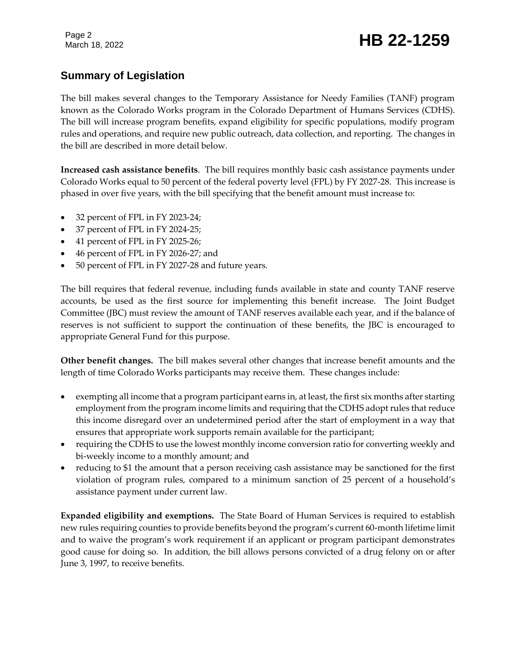### Page 2<br>March 18, 2022 **HB 22-1259**

### **Summary of Legislation**

The bill makes several changes to the Temporary Assistance for Needy Families (TANF) program known as the Colorado Works program in the Colorado Department of Humans Services (CDHS). The bill will increase program benefits, expand eligibility for specific populations, modify program rules and operations, and require new public outreach, data collection, and reporting. The changes in the bill are described in more detail below.

**Increased cash assistance benefits**. The bill requires monthly basic cash assistance payments under Colorado Works equal to 50 percent of the federal poverty level (FPL) by FY 2027-28. This increase is phased in over five years, with the bill specifying that the benefit amount must increase to:

- 32 percent of FPL in FY 2023-24;
- 37 percent of FPL in FY 2024-25;
- 41 percent of FPL in FY 2025-26;
- 46 percent of FPL in FY 2026-27; and
- 50 percent of FPL in FY 2027-28 and future years.

The bill requires that federal revenue, including funds available in state and county TANF reserve accounts, be used as the first source for implementing this benefit increase. The Joint Budget Committee (JBC) must review the amount of TANF reserves available each year, and if the balance of reserves is not sufficient to support the continuation of these benefits, the JBC is encouraged to appropriate General Fund for this purpose.

**Other benefit changes.** The bill makes several other changes that increase benefit amounts and the length of time Colorado Works participants may receive them. These changes include:

- exempting all income that a program participant earns in, at least, the first six months after starting employment from the program income limits and requiring that the CDHS adopt rules that reduce this income disregard over an undetermined period after the start of employment in a way that ensures that appropriate work supports remain available for the participant;
- requiring the CDHS to use the lowest monthly income conversion ratio for converting weekly and bi-weekly income to a monthly amount; and
- reducing to \$1 the amount that a person receiving cash assistance may be sanctioned for the first violation of program rules, compared to a minimum sanction of 25 percent of a household's assistance payment under current law.

**Expanded eligibility and exemptions.** The State Board of Human Services is required to establish new rules requiring counties to provide benefits beyond the program's current 60-month lifetime limit and to waive the program's work requirement if an applicant or program participant demonstrates good cause for doing so. In addition, the bill allows persons convicted of a drug felony on or after June 3, 1997, to receive benefits.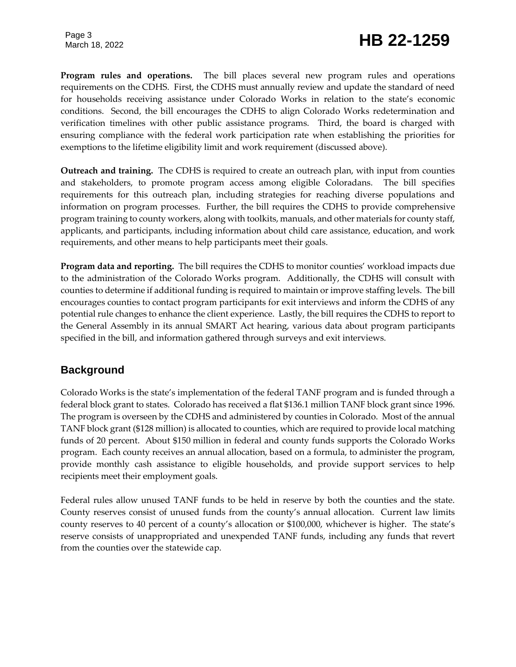### Page 3<br>March 18, 2022 **HB 22-1259**

**Program rules and operations.** The bill places several new program rules and operations requirements on the CDHS. First, the CDHS must annually review and update the standard of need for households receiving assistance under Colorado Works in relation to the state's economic conditions. Second, the bill encourages the CDHS to align Colorado Works redetermination and verification timelines with other public assistance programs. Third, the board is charged with ensuring compliance with the federal work participation rate when establishing the priorities for exemptions to the lifetime eligibility limit and work requirement (discussed above).

**Outreach and training.**The CDHS is required to create an outreach plan, with input from counties and stakeholders, to promote program access among eligible Coloradans. The bill specifies requirements for this outreach plan, including strategies for reaching diverse populations and information on program processes. Further, the bill requires the CDHS to provide comprehensive program training to county workers, along with toolkits, manuals, and other materials for county staff, applicants, and participants, including information about child care assistance, education, and work requirements, and other means to help participants meet their goals.

**Program data and reporting.** The bill requires the CDHS to monitor counties' workload impacts due to the administration of the Colorado Works program. Additionally, the CDHS will consult with counties to determine if additional funding is required to maintain or improve staffing levels. The bill encourages counties to contact program participants for exit interviews and inform the CDHS of any potential rule changes to enhance the client experience. Lastly, the bill requires the CDHS to report to the General Assembly in its annual SMART Act hearing, various data about program participants specified in the bill, and information gathered through surveys and exit interviews.

#### **Background**

Colorado Works is the state's implementation of the federal TANF program and is funded through a federal block grant to states. Colorado has received a flat \$136.1 million TANF block grant since 1996. The program is overseen by the CDHS and administered by counties in Colorado. Most of the annual TANF block grant (\$128 million) is allocated to counties, which are required to provide local matching funds of 20 percent. About \$150 million in federal and county funds supports the Colorado Works program. Each county receives an annual allocation, based on a formula, to administer the program, provide monthly cash assistance to eligible households, and provide support services to help recipients meet their employment goals.

Federal rules allow unused TANF funds to be held in reserve by both the counties and the state. County reserves consist of unused funds from the county's annual allocation. Current law limits county reserves to 40 percent of a county's allocation or \$100,000, whichever is higher. The state's reserve consists of unappropriated and unexpended TANF funds, including any funds that revert from the counties over the statewide cap.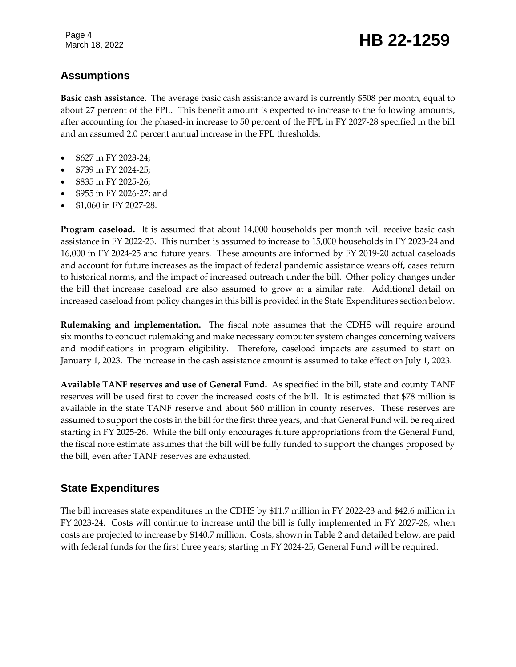### Page 4<br>March 18, 2022 **HB 22-1259**

#### **Assumptions**

**Basic cash assistance.** The average basic cash assistance award is currently \$508 per month, equal to about 27 percent of the FPL. This benefit amount is expected to increase to the following amounts, after accounting for the phased-in increase to 50 percent of the FPL in FY 2027-28 specified in the bill and an assumed 2.0 percent annual increase in the FPL thresholds:

- \$627 in FY 2023-24;
- \$739 in FY 2024-25;
- \$835 in FY 2025-26;
- \$955 in FY 2026-27; and
- \$1,060 in FY 2027-28.

**Program caseload.** It is assumed that about 14,000 households per month will receive basic cash assistance in FY 2022-23. This number is assumed to increase to 15,000 households in FY 2023-24 and 16,000 in FY 2024-25 and future years. These amounts are informed by FY 2019-20 actual caseloads and account for future increases as the impact of federal pandemic assistance wears off, cases return to historical norms, and the impact of increased outreach under the bill. Other policy changes under the bill that increase caseload are also assumed to grow at a similar rate. Additional detail on increased caseload from policy changes in this bill is provided in the State Expenditures section below.

**Rulemaking and implementation.** The fiscal note assumes that the CDHS will require around six months to conduct rulemaking and make necessary computer system changes concerning waivers and modifications in program eligibility. Therefore, caseload impacts are assumed to start on January 1, 2023. The increase in the cash assistance amount is assumed to take effect on July 1, 2023.

**Available TANF reserves and use of General Fund.** As specified in the bill, state and county TANF reserves will be used first to cover the increased costs of the bill. It is estimated that \$78 million is available in the state TANF reserve and about \$60 million in county reserves. These reserves are assumed to support the costs in the bill for the first three years, and that General Fund will be required starting in FY 2025-26. While the bill only encourages future appropriations from the General Fund, the fiscal note estimate assumes that the bill will be fully funded to support the changes proposed by the bill, even after TANF reserves are exhausted.

#### **State Expenditures**

The bill increases state expenditures in the CDHS by \$11.7 million in FY 2022-23 and \$42.6 million in FY 2023-24. Costs will continue to increase until the bill is fully implemented in FY 2027-28, when costs are projected to increase by \$140.7 million. Costs, shown in Table 2 and detailed below, are paid with federal funds for the first three years; starting in FY 2024-25, General Fund will be required.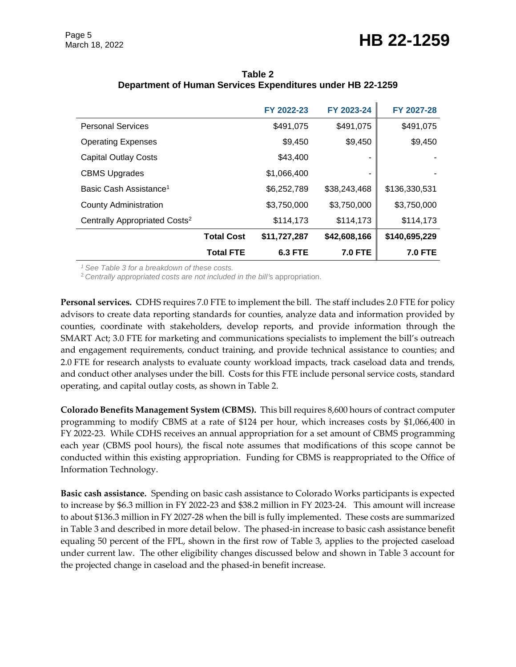### March 18, 2022 **HB 22-1259**

|                                           |                   | FY 2022-23     | FY 2023-24     | FY 2027-28     |
|-------------------------------------------|-------------------|----------------|----------------|----------------|
| <b>Personal Services</b>                  |                   | \$491,075      | \$491,075      | \$491,075      |
| <b>Operating Expenses</b>                 |                   | \$9,450        | \$9,450        | \$9,450        |
| <b>Capital Outlay Costs</b>               |                   | \$43,400       | ۰              |                |
| <b>CBMS Upgrades</b>                      |                   | \$1,066,400    | ٠              |                |
| Basic Cash Assistance <sup>1</sup>        |                   | \$6,252,789    | \$38,243,468   | \$136,330,531  |
| <b>County Administration</b>              |                   | \$3,750,000    | \$3,750,000    | \$3,750,000    |
| Centrally Appropriated Costs <sup>2</sup> |                   | \$114,173      | \$114,173      | \$114,173      |
|                                           | <b>Total Cost</b> | \$11,727,287   | \$42,608,166   | \$140,695,229  |
|                                           | <b>Total FTE</b>  | <b>6.3 FTE</b> | <b>7.0 FTE</b> | <b>7.0 FTE</b> |

**Table 2 Department of Human Services Expenditures under HB 22-1259**

*<sup>1</sup>See Table 3 for a breakdown of these costs.*

<sup>2</sup>*Centrally appropriated costs are not included in the bill'*s appropriation.

**Personal services.** CDHS requires 7.0 FTE to implement the bill. The staff includes 2.0 FTE for policy advisors to create data reporting standards for counties, analyze data and information provided by counties, coordinate with stakeholders, develop reports, and provide information through the SMART Act; 3.0 FTE for marketing and communications specialists to implement the bill's outreach and engagement requirements, conduct training, and provide technical assistance to counties; and 2.0 FTE for research analysts to evaluate county workload impacts, track caseload data and trends, and conduct other analyses under the bill. Costs for this FTE include personal service costs, standard operating, and capital outlay costs, as shown in Table 2.

**Colorado Benefits Management System (CBMS).** This bill requires 8,600 hours of contract computer programming to modify CBMS at a rate of \$124 per hour, which increases costs by \$1,066,400 in FY 2022-23. While CDHS receives an annual appropriation for a set amount of CBMS programming each year (CBMS pool hours), the fiscal note assumes that modifications of this scope cannot be conducted within this existing appropriation. Funding for CBMS is reappropriated to the Office of Information Technology.

**Basic cash assistance.** Spending on basic cash assistance to Colorado Works participants is expected to increase by \$6.3 million in FY 2022-23 and \$38.2 million in FY 2023-24. This amount will increase to about \$136.3 million in FY 2027-28 when the bill is fully implemented. These costs are summarized in Table 3 and described in more detail below. The phased-in increase to basic cash assistance benefit equaling 50 percent of the FPL, shown in the first row of Table 3, applies to the projected caseload under current law. The other eligibility changes discussed below and shown in Table 3 account for the projected change in caseload and the phased-in benefit increase.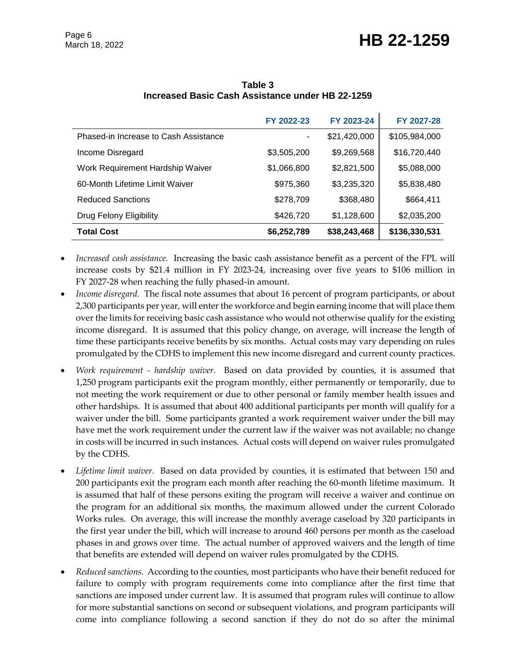## March 18, 2022 **HB 22-1259**

|                                       | FY 2022-23  | FY 2023-24   | FY 2027-28    |
|---------------------------------------|-------------|--------------|---------------|
| Phased-in Increase to Cash Assistance | ٠           | \$21,420,000 | \$105,984,000 |
| Income Disregard                      | \$3,505,200 | \$9,269,568  | \$16,720,440  |
| Work Requirement Hardship Waiver      | \$1,066,800 | \$2,821,500  | \$5,088,000   |
| 60-Month Lifetime Limit Waiver        | \$975,360   | \$3,235,320  | \$5,838,480   |
| <b>Reduced Sanctions</b>              | \$278,709   | \$368,480    | \$664,411     |
| Drug Felony Eligibility               | \$426,720   | \$1,128,600  | \$2,035,200   |
| <b>Total Cost</b>                     | \$6,252,789 | \$38,243,468 | \$136,330,531 |

**Table 3 Increased Basic Cash Assistance under HB 22-1259**

- *Increased cash assistance.* Increasing the basic cash assistance benefit as a percent of the FPL will increase costs by \$21.4 million in FY 2023-24, increasing over five years to \$106 million in FY 2027-28 when reaching the fully phased-in amount.
- *Income disregard.* The fiscal note assumes that about 16 percent of program participants, or about 2,300 participants per year, will enter the workforce and begin earning income that will place them over the limits for receiving basic cash assistance who would not otherwise qualify for the existing income disregard. It is assumed that this policy change, on average, will increase the length of time these participants receive benefits by six months. Actual costs may vary depending on rules promulgated by the CDHS to implement this new income disregard and current county practices.
- *Work requirement - hardship waiver.* Based on data provided by counties, it is assumed that 1,250 program participants exit the program monthly, either permanently or temporarily, due to not meeting the work requirement or due to other personal or family member health issues and other hardships. It is assumed that about 400 additional participants per month will qualify for a waiver under the bill. Some participants granted a work requirement waiver under the bill may have met the work requirement under the current law if the waiver was not available; no change in costs will be incurred in such instances. Actual costs will depend on waiver rules promulgated by the CDHS.
- *Lifetime limit waiver.* Based on data provided by counties, it is estimated that between 150 and 200 participants exit the program each month after reaching the 60-month lifetime maximum. It is assumed that half of these persons exiting the program will receive a waiver and continue on the program for an additional six months, the maximum allowed under the current Colorado Works rules. On average, this will increase the monthly average caseload by 320 participants in the first year under the bill, which will increase to around 460 persons per month as the caseload phases in and grows over time. The actual number of approved waivers and the length of time that benefits are extended will depend on waiver rules promulgated by the CDHS.
- *Reduced sanctions.* According to the counties, most participants who have their benefit reduced for failure to comply with program requirements come into compliance after the first time that sanctions are imposed under current law. It is assumed that program rules will continue to allow for more substantial sanctions on second or subsequent violations, and program participants will come into compliance following a second sanction if they do not do so after the minimal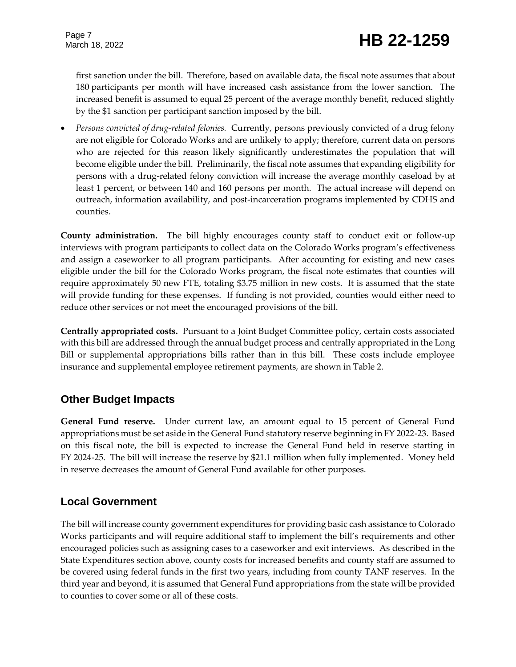first sanction under the bill. Therefore, based on available data, the fiscal note assumes that about 180 participants per month will have increased cash assistance from the lower sanction. The increased benefit is assumed to equal 25 percent of the average monthly benefit, reduced slightly by the \$1 sanction per participant sanction imposed by the bill.

 *Persons convicted of drug-related felonies.* Currently, persons previously convicted of a drug felony are not eligible for Colorado Works and are unlikely to apply; therefore, current data on persons who are rejected for this reason likely significantly underestimates the population that will become eligible under the bill. Preliminarily, the fiscal note assumes that expanding eligibility for persons with a drug-related felony conviction will increase the average monthly caseload by at least 1 percent, or between 140 and 160 persons per month. The actual increase will depend on outreach, information availability, and post-incarceration programs implemented by CDHS and counties.

**County administration.** The bill highly encourages county staff to conduct exit or follow-up interviews with program participants to collect data on the Colorado Works program's effectiveness and assign a caseworker to all program participants. After accounting for existing and new cases eligible under the bill for the Colorado Works program, the fiscal note estimates that counties will require approximately 50 new FTE, totaling \$3.75 million in new costs. It is assumed that the state will provide funding for these expenses. If funding is not provided, counties would either need to reduce other services or not meet the encouraged provisions of the bill.

**Centrally appropriated costs.** Pursuant to a Joint Budget Committee policy, certain costs associated with this bill are addressed through the annual budget process and centrally appropriated in the Long Bill or supplemental appropriations bills rather than in this bill. These costs include employee insurance and supplemental employee retirement payments, are shown in Table 2.

#### **Other Budget Impacts**

**General Fund reserve.** Under current law, an amount equal to 15 percent of General Fund appropriations must be set aside in the General Fund statutory reserve beginning in FY 2022-23. Based on this fiscal note, the bill is expected to increase the General Fund held in reserve starting in FY 2024-25. The bill will increase the reserve by \$21.1 million when fully implemented. Money held in reserve decreases the amount of General Fund available for other purposes.

#### **Local Government**

The bill will increase county government expenditures for providing basic cash assistance to Colorado Works participants and will require additional staff to implement the bill's requirements and other encouraged policies such as assigning cases to a caseworker and exit interviews. As described in the State Expenditures section above, county costs for increased benefits and county staff are assumed to be covered using federal funds in the first two years, including from county TANF reserves. In the third year and beyond, it is assumed that General Fund appropriations from the state will be provided to counties to cover some or all of these costs.